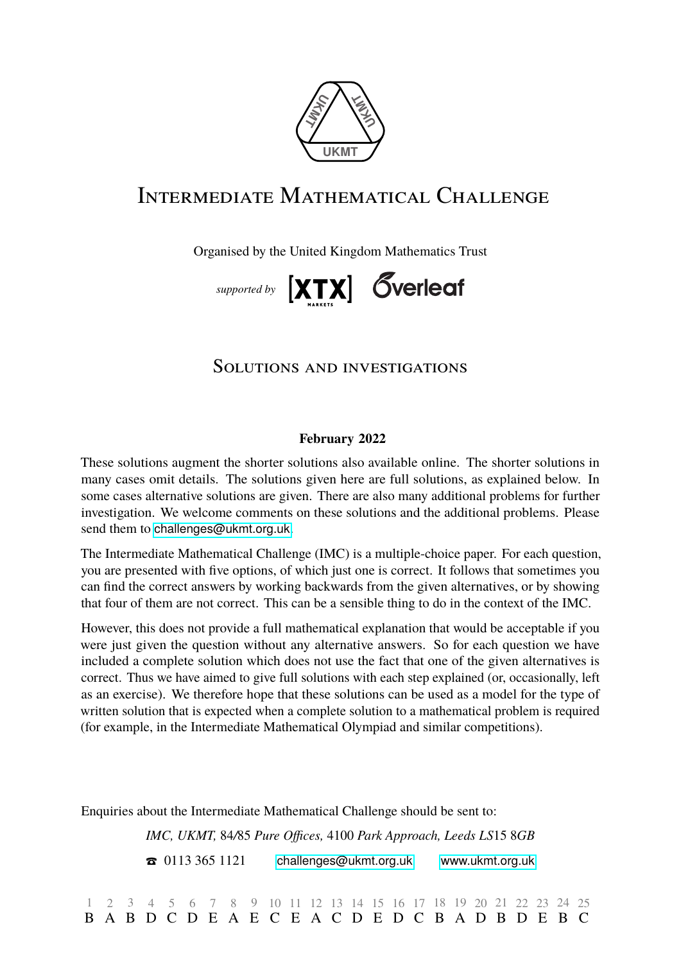

# Intermediate Mathematical Challenge

Organised by the United Kingdom Mathematics Trust



# Solutions and investigations

## **February 2022**

These solutions augment the shorter solutions also available online. The shorter solutions in many cases omit details. The solutions given here are full solutions, as explained below. In some cases alternative solutions are given. There are also many additional problems for further investigation. We welcome comments on these solutions and the additional problems. Please send them to [challenges@ukmt.org.uk](mailto:\UKMTemail ).

The Intermediate Mathematical Challenge (IMC) is a multiple-choice paper. For each question, you are presented with five options, of which just one is correct. It follows that sometimes you can find the correct answers by working backwards from the given alternatives, or by showing that four of them are not correct. This can be a sensible thing to do in the context of the IMC.

However, this does not provide a full mathematical explanation that would be acceptable if you were just given the question without any alternative answers. So for each question we have included a complete solution which does not use the fact that one of the given alternatives is correct. Thus we have aimed to give full solutions with each step explained (or, occasionally, left as an exercise). We therefore hope that these solutions can be used as a model for the type of written solution that is expected when a complete solution to a mathematical problem is required (for example, in the Intermediate Mathematical Olympiad and similar competitions).

Enquiries about the Intermediate Mathematical Challenge should be sent to:

IMC, UKMT, 84/85 Pure Offices, 4100 Park Approach, Leeds LS15 8GB T 0113 365 1121 [challenges@ukmt.org.uk](mailto:\UKMTemail ) [www.ukmt.org.uk](http://\UKMTweb )

1 B 2 A B D C D E A E C E A C D E D C B A D B D E B C 3 4 5 6 7 8 9 10 11 12 13 14 15 16 17 18 19 20 21 22 23 24 25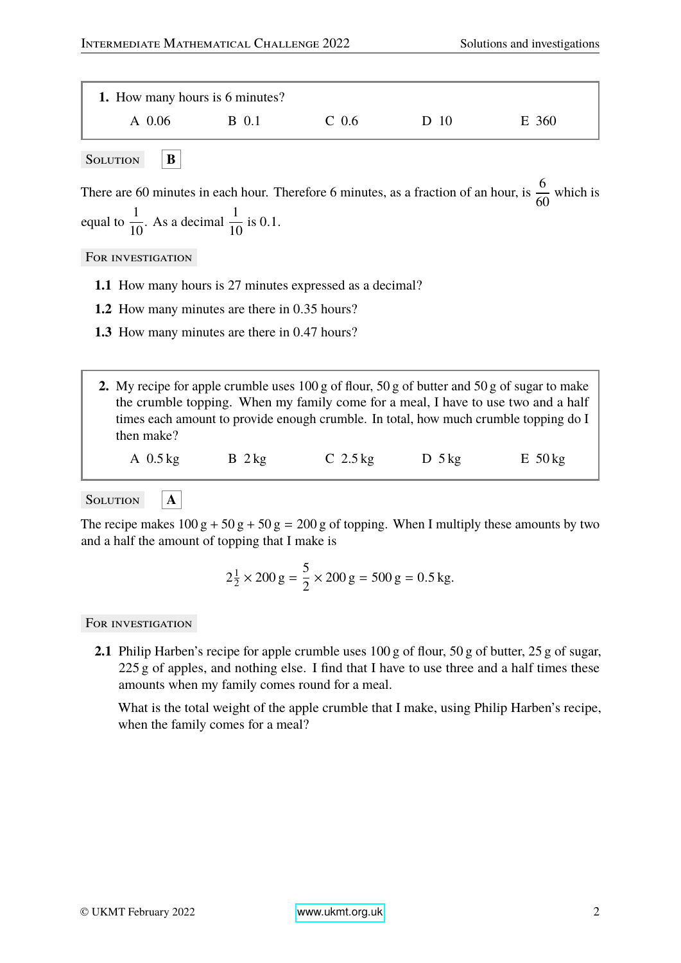| 1. How many hours is 6 minutes? |       |                  |      |       |  |
|---------------------------------|-------|------------------|------|-------|--|
| A 0.06                          | B 0.1 | C <sub>0.6</sub> | D 10 | E 360 |  |

SOLUTION **B** 

There are 60 minutes in each hour. Therefore 6 minutes, as a fraction of an hour, is  $\frac{6}{6}$ 60 which is equal to  $\frac{1}{16}$ 10 . As a decimal  $\frac{1}{16}$  $\frac{1}{10}$  is 0.1.

FOR INVESTIGATION

- **1.1** How many hours is 27 minutes expressed as a decimal?
- **1.2** How many minutes are there in <sup>0</sup>.<sup>35</sup> hours?
- **1.3** How many minutes are there in <sup>0</sup>.<sup>47</sup> hours?
- **2.** My recipe for apple crumble uses 100 g of flour, 50 g of butter and 50 g of sugar to make the crumble topping. When my family come for a meal, I have to use two and a half times each amount to provide enough crumble. In total, how much crumble topping do I then make?

A 0.5 kg B 2 kg C 2.5 kg D 5 kg E 50 kg

SOLUTION **A** 

The recipe makes  $100 g + 50 g + 50 g = 200 g$  of topping. When I multiply these amounts by two and a half the amount of topping that I make is

$$
2\frac{1}{2} \times 200 \text{ g} = \frac{5}{2} \times 200 \text{ g} = 500 \text{ g} = 0.5 \text{ kg}.
$$

#### FOR INVESTIGATION

**2.1** Philip Harben's recipe for apple crumble uses 100 g of flour, 50 g of butter, 25 g of sugar, 225 g of apples, and nothing else. I find that I have to use three and a half times these amounts when my family comes round for a meal.

What is the total weight of the apple crumble that I make, using Philip Harben's recipe, when the family comes for a meal?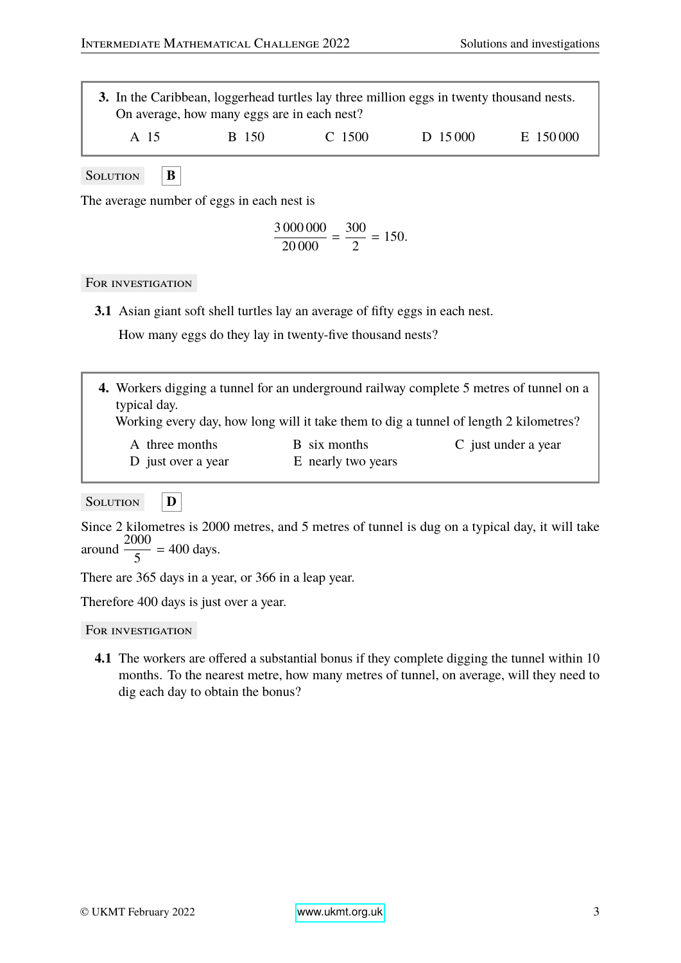|      | On average, how many eggs are in each nest? |            | 3. In the Caribbean, loggerhead turtles lay three million eggs in twenty thousand nests. |          |
|------|---------------------------------------------|------------|------------------------------------------------------------------------------------------|----------|
| A 15 | B 150                                       | $C_{1500}$ | D 15000                                                                                  | E 150000 |

Solution **B** 

The average number of eggs in each nest is

$$
\frac{3\,000\,000}{20\,000} = \frac{300}{2} = 150.
$$

### FOR INVESTIGATION

**3.1** Asian giant soft shell turtles lay an average of fifty eggs in each nest.

How many eggs do they lay in twenty-five thousand nests?

| 4. Workers digging a tunnel for an underground railway complete 5 metres of tunnel on a |
|-----------------------------------------------------------------------------------------|
| typical day.                                                                            |
| Working every day, how long will it take them to dig a tunnel of length 2 kilometres?   |

- A three months B six months C just under a year
	- D just over a year E nearly two years

Solution **D**

Since 2 kilometres is 2000 metres, and 5 metres of tunnel is dug on a typical day, it will take around  $\frac{2000}{5}$ 5 = 400 days.

There are 365 days in a year, or 366 in a leap year.

Therefore 400 days is just over a year.

#### For investigation

**4.1** The workers are offered a substantial bonus if they complete digging the tunnel within 10 months. To the nearest metre, how many metres of tunnel, on average, will they need to dig each day to obtain the bonus?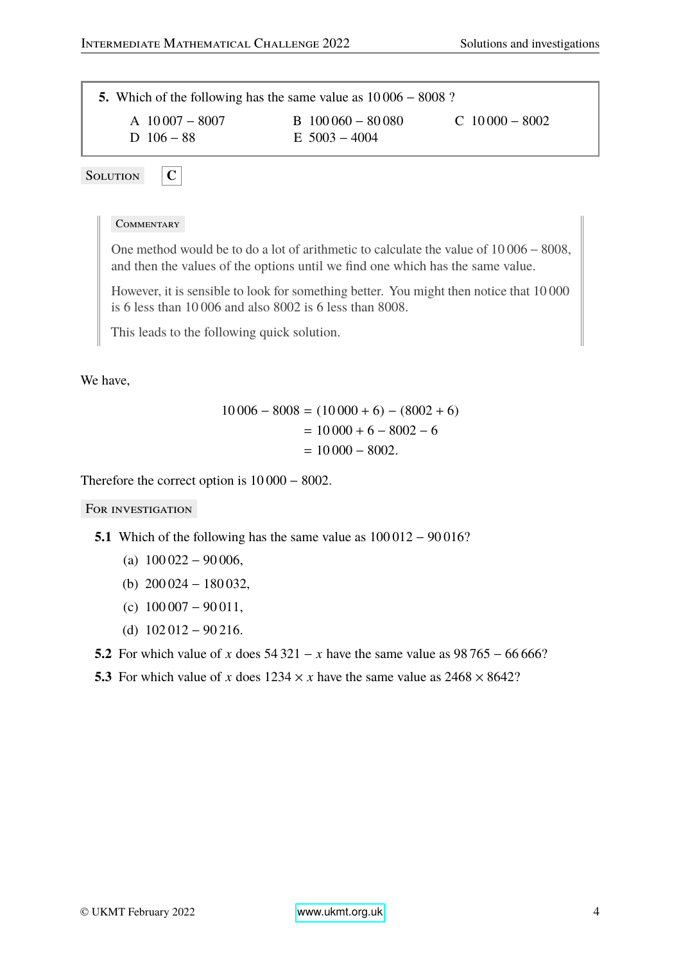**5.** Which of the following has the same value as 10 006 − 8008 ? A 10 007 − 8007 B 100 060 − 80 080 C 10 000 − 8002 D 106 − 88 E 5003 – 4004

SOLUTION **C** 

#### **COMMENTARY**

One method would be to do a lot of arithmetic to calculate the value of 10 006 − 8008, and then the values of the options until we find one which has the same value.

However, it is sensible to look for something better. You might then notice that 10 000 is 6 less than 10 006 and also 8002 is 6 less than 8008.

This leads to the following quick solution.

We have,

$$
10\,006 - 8008 = (10\,000 + 6) - (8002 + 6)
$$
  
= 10\,000 + 6 - 8002 - 6  
= 10\,000 - 8002.

Therefore the correct option is 10 000 − 8002.

- 5.1 Which of the following has the same value as  $100012 − 90016$ ?
	- (a)  $100\,022 90\,006$ ,
	- (b) 200 024 − 180 032,
	- (c)  $100007 90011$ ,
	- (d)  $102\,012 90\,216$ .
- **5.2** For which value of *x* does 54 321 − *x* have the same value as 98 765 − 66 666?
- **5.3** For which value of *x* does  $1234 \times x$  have the same value as  $2468 \times 8642$ ?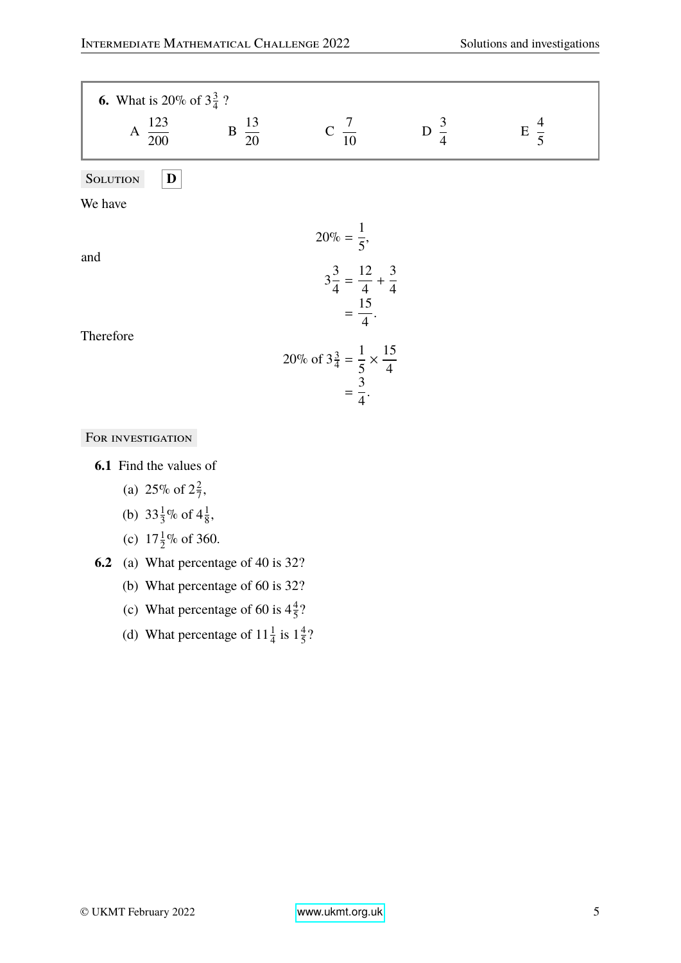| <b>6.</b> What is 20% of $3\frac{3}{4}$ ? |                  |                                                                                          |                 |                |
|-------------------------------------------|------------------|------------------------------------------------------------------------------------------|-----------------|----------------|
| A $\frac{123}{200}$                       | $B\frac{13}{20}$ | $C \frac{7}{10}$                                                                         | D $\frac{3}{4}$ | $E\frac{4}{5}$ |
| <b>SOLUTION</b><br>$\mathbf D$            |                  |                                                                                          |                 |                |
| We have                                   |                  |                                                                                          |                 |                |
| and<br>Therefore                          |                  | $20\% = \frac{1}{5}$<br>$3\frac{3}{4} = \frac{12}{4} + \frac{3}{4}$<br>$=\frac{15}{4}$ . |                 |                |
|                                           |                  | 20% of $3\frac{3}{4} = \frac{1}{5} \times \frac{15}{4}$<br>= $\frac{3}{4}$ .             |                 |                |

|  |  | FOR INVESTIGATION |
|--|--|-------------------|
|--|--|-------------------|

**6.1** Find the values of

(a) 25\% of  $2\frac{2}{7}$  $\frac{2}{7}$ ,

(b)  $33\frac{1}{3}\%$  of  $4\frac{1}{8}$  $\frac{1}{8}$ ,

(c)  $17\frac{1}{2}\%$  of 360.

- **6.2** (a) What percentage of 40 is 32?
	- (b) What percentage of 60 is 32?
	- (c) What percentage of 60 is  $4\frac{4}{5}$  $rac{4}{5}$ ?
	- (d) What percentage of  $11\frac{1}{4}$  is  $1\frac{4}{5}$  $rac{4}{5}$ ?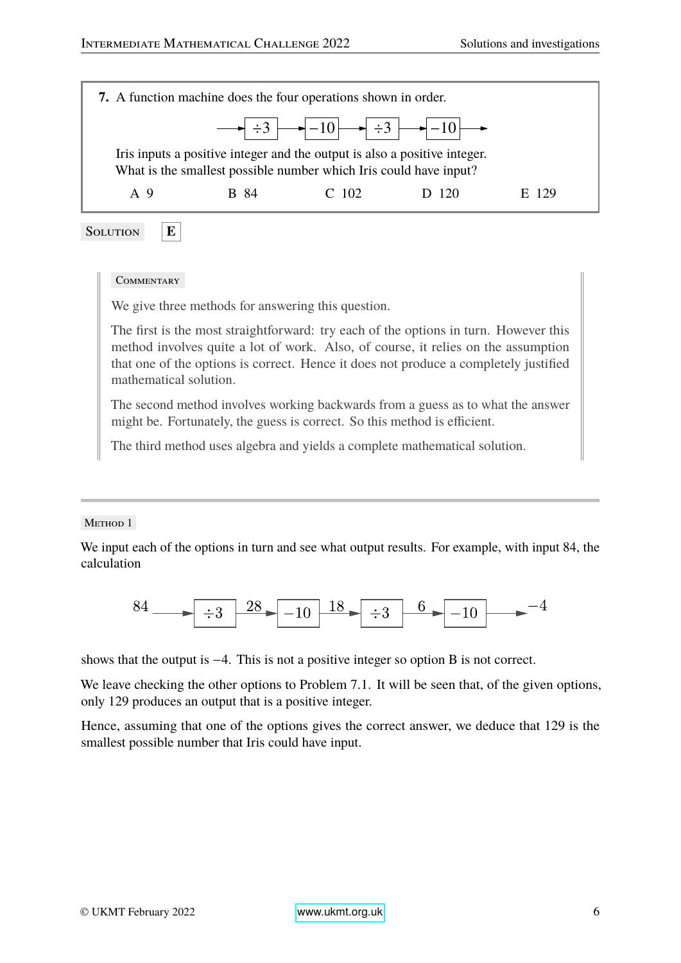| 7. A function machine does the four operations shown in order.                                                                                 |      |             |                                                                                                                                                                                                               |       |  |
|------------------------------------------------------------------------------------------------------------------------------------------------|------|-------------|---------------------------------------------------------------------------------------------------------------------------------------------------------------------------------------------------------------|-------|--|
|                                                                                                                                                |      |             | $\rightarrow$ $\div 3$ $\rightarrow$ $\leftarrow$ $\leftarrow$ $\leftarrow$ $\leftarrow$ $\leftarrow$ $\leftarrow$ $\leftarrow$ $\leftarrow$ $\leftarrow$ $\leftarrow$ $\leftarrow$ $\leftarrow$ $\leftarrow$ |       |  |
| Iris inputs a positive integer and the output is also a positive integer.<br>What is the smallest possible number which Iris could have input? |      |             |                                                                                                                                                                                                               |       |  |
| A <sub>9</sub>                                                                                                                                 | R 84 | $C_{.}$ 102 | D 120                                                                                                                                                                                                         | E 129 |  |

Solution **E**

#### **COMMENTARY**

We give three methods for answering this question.

The first is the most straightforward: try each of the options in turn. However this method involves quite a lot of work. Also, of course, it relies on the assumption that one of the options is correct. Hence it does not produce a completely justified mathematical solution.

The second method involves working backwards from a guess as to what the answer might be. Fortunately, the guess is correct. So this method is efficient.

The third method uses algebra and yields a complete mathematical solution.

#### METHOD 1

We input each of the options in turn and see what output results. For example, with input 84, the calculation



shows that the output is −4. This is not a positive integer so option B is not correct.

We leave checking the other options to Problem 7.1. It will be seen that, of the given options, only 129 produces an output that is a positive integer.

Hence, assuming that one of the options gives the correct answer, we deduce that 129 is the smallest possible number that Iris could have input.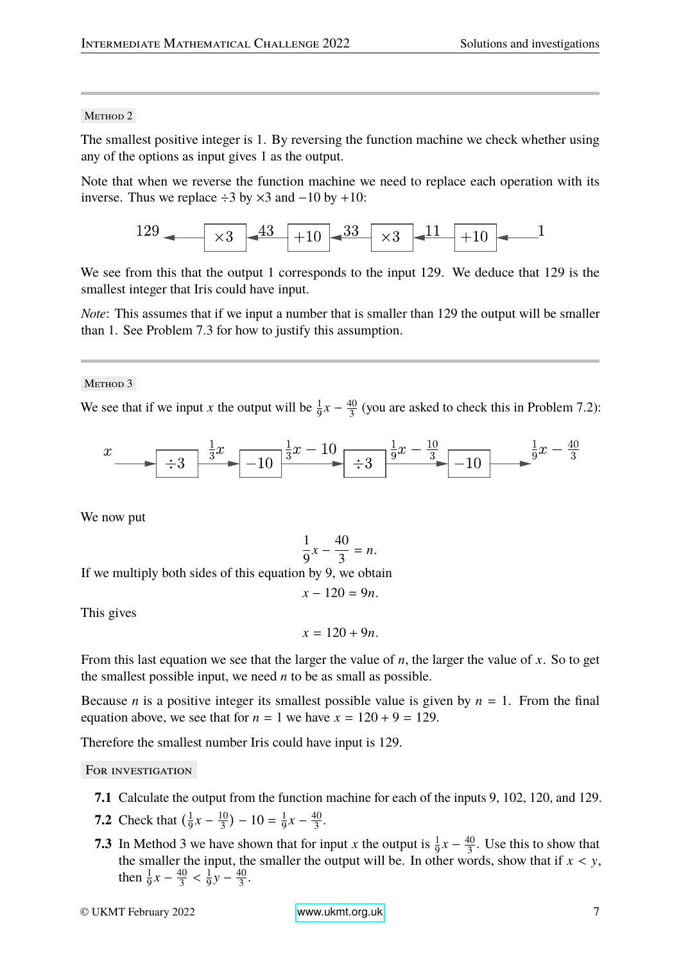#### METHOD<sub>2</sub>

The smallest positive integer is 1. By reversing the function machine we check whether using any of the options as input gives 1 as the output.

Note that when we reverse the function machine we need to replace each operation with its inverse. Thus we replace ÷3 by ×3 and −10 by +10:



We see from this that the output 1 corresponds to the input 129. We deduce that 129 is the smallest integer that Iris could have input.

*Note*: This assumes that if we input a number that is smaller than 129 the output will be smaller than 1. See Problem 7.3 for how to justify this assumption.

METHOD<sub>3</sub>

We see that if we input *x* the output will be  $\frac{1}{9}x - \frac{40}{3}$  $\frac{40}{3}$  (you are asked to check this in Problem 7.2):



We now put

$$
\frac{1}{9}x - \frac{40}{3} = n.
$$

If we multiply both sides of this equation by 9, we obtain

$$
x-120=9n.
$$

This gives

$$
x=120+9n.
$$

From this last equation we see that the larger the value of *n*, the larger the value of *x*. So to get the smallest possible input, we need *n* to be as small as possible.

Because *n* is a positive integer its smallest possible value is given by  $n = 1$ . From the final equation above, we see that for  $n = 1$  we have  $x = 120 + 9 = 129$ .

Therefore the smallest number Iris could have input is 129.

- **7.1** Calculate the output from the function machine for each of the inputs 9, 102, 120, and 129.
- **7.2** Check that  $\left(\frac{1}{9}\right)$  $\frac{1}{9}x - \frac{10}{3}$  $\frac{10}{3}$ ) – 10 =  $\frac{1}{9}$  $\frac{1}{9}x - \frac{40}{3}$  $rac{10}{3}$ .
- **7.3** In Method 3 we have shown that for input *x* the output is  $\frac{1}{9}x \frac{40}{3}$  $\frac{40}{3}$ . Use this to show that the smaller the input, the smaller the output will be. In other words, show that if  $x < y$ , then  $\frac{1}{9}x - \frac{40}{3}$  $3$ 1  $\frac{1}{9}y - \frac{40}{3}$  $rac{10}{3}$ .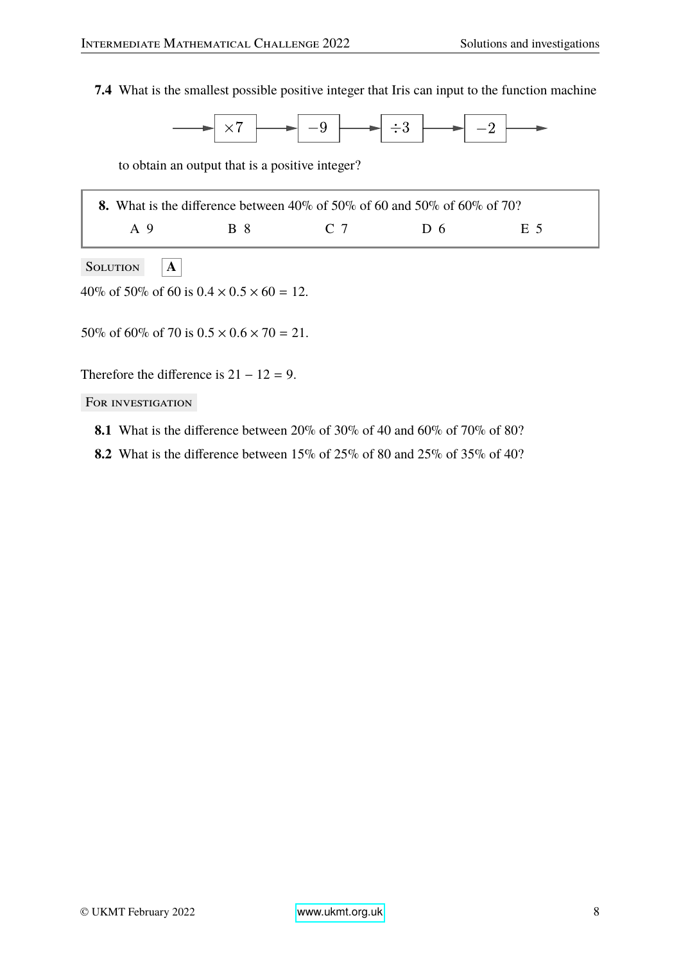**7.4** What is the smallest possible positive integer that Iris can input to the function machine



to obtain an output that is a positive integer?

|     |     | <b>8.</b> What is the difference between 40% of 50% of 60 and 50% of 60% of 70? |                |        |
|-----|-----|---------------------------------------------------------------------------------|----------------|--------|
| A 9 | R 8 | $\Gamma$ 7                                                                      | D <sub>6</sub> | - F. 5 |

SOLUTION **A** 

40\% of 50\% of 60 is  $0.4 \times 0.5 \times 60 = 12$ .

50% of 60% of 70 is  $0.5 \times 0.6 \times 70 = 21$ .

Therefore the difference is  $21 - 12 = 9$ .

- **8.1** What is the difference between 20% of 30% of 40 and 60% of 70% of 80?
- **8.2** What is the difference between 15% of 25% of 80 and 25% of 35% of 40?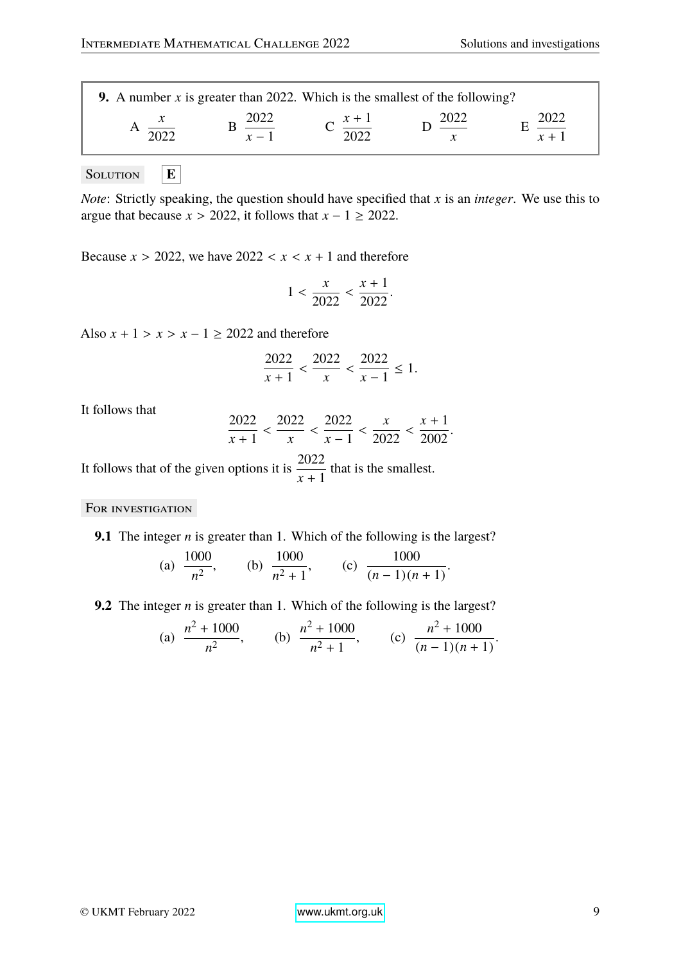| 9. A number x is greater than 2022. Which is the smallest of the following? |  |  |  |  |  |  |
|-----------------------------------------------------------------------------|--|--|--|--|--|--|
|                                                                             |  |  |  |  |  |  |
|                                                                             |  |  |  |  |  |  |

SOLUTION  $|\mathbf{E}|$ 

*Note*: Strictly speaking, the question should have specified that *x* is an *integer*. We use this to argue that because  $x > 2022$ , it follows that  $x - 1 \ge 2022$ .

Because  $x > 2022$ , we have  $2022 < x < x + 1$  and therefore

$$
1 < \frac{x}{2022} < \frac{x+1}{2022}.
$$

Also  $x + 1 > x > x - 1 \ge 2022$  and therefore

$$
\frac{2022}{x+1} < \frac{2022}{x} < \frac{2022}{x-1} \le 1.
$$

It follows that

$$
\frac{2022}{x+1} < \frac{2022}{x} < \frac{2022}{x-1} < \frac{x}{2022} < \frac{x+1}{2002}.
$$

It follows that of the given options it is  $\frac{2022}{11}$ *x* + 1 that is the smallest.

FOR INVESTIGATION

**9.1** The integer *n* is greater than 1. Which of the following is the largest?

(a) 
$$
\frac{1000}{n^2}
$$
, (b)  $\frac{1000}{n^2 + 1}$ , (c)  $\frac{1000}{(n-1)(n+1)}$ .

**9.2** The integer *n* is greater than 1. Which of the following is the largest?

(a) 
$$
\frac{n^2 + 1000}{n^2}
$$
, (b)  $\frac{n^2 + 1000}{n^2 + 1}$ , (c)  $\frac{n^2 + 1000}{(n-1)(n+1)}$ .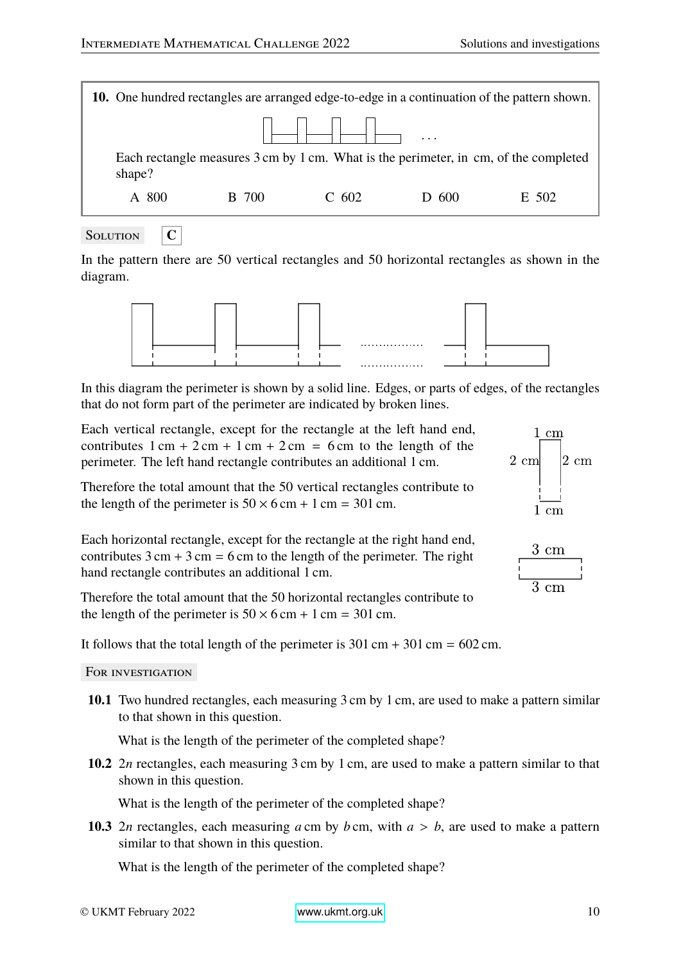| <b>10.</b> One hundred rectangles are arranged edge-to-edge in a continuation of the pattern shown. |              |         |                                                                                      |       |
|-----------------------------------------------------------------------------------------------------|--------------|---------|--------------------------------------------------------------------------------------|-------|
|                                                                                                     |              |         | $\cdots$                                                                             |       |
| shape?                                                                                              |              |         | Each rectangle measures 3 cm by 1 cm. What is the perimeter, in cm, of the completed |       |
| A 800                                                                                               | <b>B</b> 700 | $C$ 602 | $D_600$                                                                              | E 502 |
|                                                                                                     |              |         |                                                                                      |       |



In the pattern there are 50 vertical rectangles and 50 horizontal rectangles as shown in the diagram.



In this diagram the perimeter is shown by a solid line. Edges, or parts of edges, of the rectangles that do not form part of the perimeter are indicated by broken lines.

Each vertical rectangle, except for the rectangle at the left hand end, contributes  $1 \text{ cm} + 2 \text{ cm} + 1 \text{ cm} + 2 \text{ cm} = 6 \text{ cm}$  to the length of the perimeter. The left hand rectangle contributes an additional 1 cm.

Therefore the total amount that the 50 vertical rectangles contribute to the length of the perimeter is  $50 \times 6$  cm + 1 cm = 301 cm.



 $3 \; \mathrm{cm}$ 

 $1 \text{ cm}$ 

2 cml

 $|2 \text{ cm}$ 

Each horizontal rectangle, except for the rectangle at the right hand end, contributes  $3 \text{ cm} + 3 \text{ cm} = 6 \text{ cm}$  to the length of the perimeter. The right hand rectangle contributes an additional 1 cm.

Therefore the total amount that the 50 horizontal rectangles contribute to the length of the perimeter is  $50 \times 6$  cm + 1 cm = 301 cm.

It follows that the total length of the perimeter is  $301 \text{ cm} + 301 \text{ cm} = 602 \text{ cm}$ .

FOR INVESTIGATION

**10.1** Two hundred rectangles, each measuring 3 cm by 1 cm, are used to make a pattern similar to that shown in this question.

What is the length of the perimeter of the completed shape?

**10.2** 2*n* rectangles, each measuring 3 cm by 1 cm, are used to make a pattern similar to that shown in this question.

What is the length of the perimeter of the completed shape?

**10.3** 2*n* rectangles, each measuring *a* cm by *b* cm, with  $a > b$ , are used to make a pattern similar to that shown in this question.

What is the length of the perimeter of the completed shape?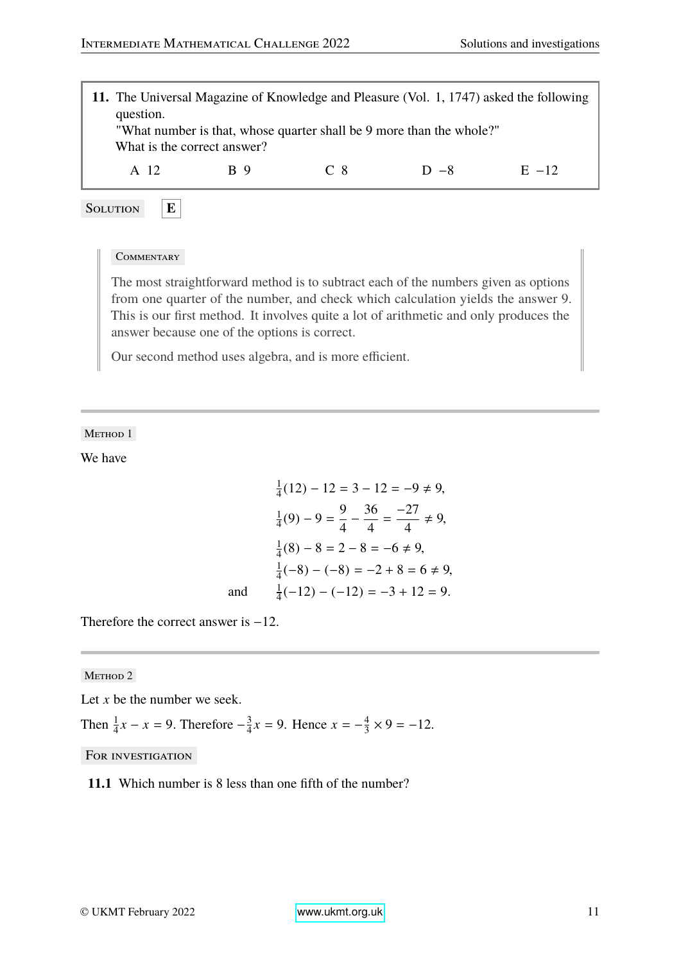

#### **COMMENTARY**

The most straightforward method is to subtract each of the numbers given as options from one quarter of the number, and check which calculation yields the answer 9. This is our first method. It involves quite a lot of arithmetic and only produces the answer because one of the options is correct.

Our second method uses algebra, and is more efficient.

METHOD 1

We have

$$
\frac{1}{4}(12) - 12 = 3 - 12 = -9 \neq 9,
$$
  
\n
$$
\frac{1}{4}(9) - 9 = \frac{9}{4} - \frac{36}{4} = \frac{-27}{4} \neq 9,
$$
  
\n
$$
\frac{1}{4}(8) - 8 = 2 - 8 = -6 \neq 9,
$$
  
\n
$$
\frac{1}{4}(-8) - (-8) = -2 + 8 = 6 \neq 9,
$$
  
\nand 
$$
\frac{1}{4}(-12) - (-12) = -3 + 12 = 9.
$$

Therefore the correct answer is  $-12$ .

METHOD<sub>2</sub>

Let *x* be the number we seek.

Then  $\frac{1}{4}x - x = 9$ . Therefore  $-\frac{3}{4}$  $\frac{3}{4}x = 9$ . Hence  $x = -\frac{4}{3}$  $\frac{4}{3} \times 9 = -12.$ 

FOR INVESTIGATION

**11.1** Which number is 8 less than one fifth of the number?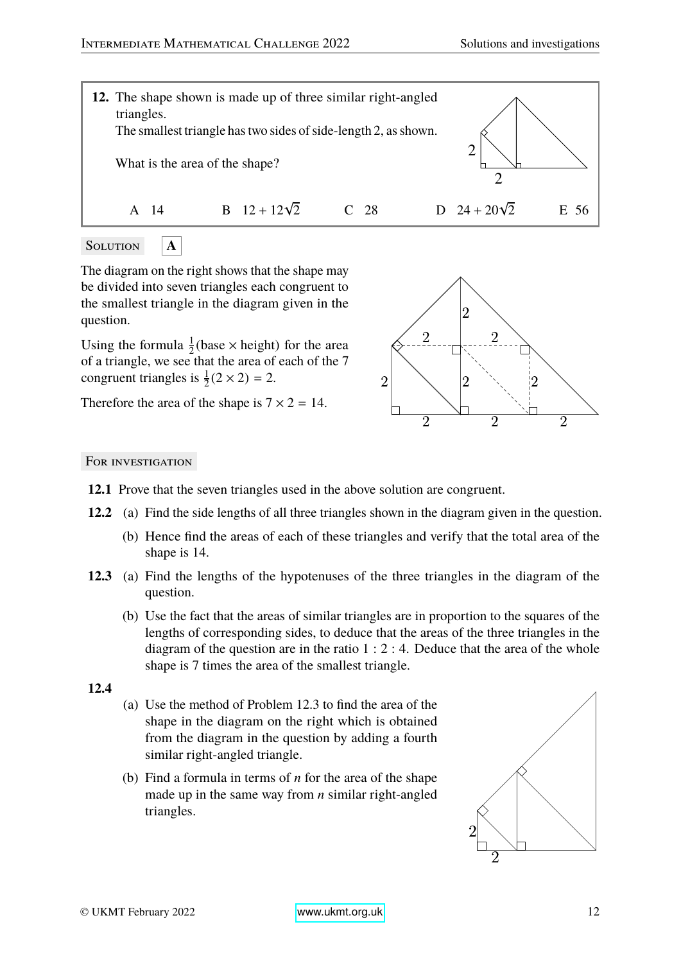

SOLUTION **A** 

The diagram on the right shows that the shape may be divided into seven triangles each congruent to the smallest triangle in the diagram given in the question.

Using the formula  $\frac{1}{2}$ (base  $\times$  height) for the area of a triangle, we see that the area of each of the 7 congruent triangles is  $\frac{1}{2}(2 \times 2) = 2$ .

Therefore the area of the shape is  $7 \times 2 = 14$ .



## For investigation

- **12.1** Prove that the seven triangles used in the above solution are congruent.
- **12.2** (a) Find the side lengths of all three triangles shown in the diagram given in the question.
	- (b) Hence find the areas of each of these triangles and verify that the total area of the shape is 14.
- **12.3** (a) Find the lengths of the hypotenuses of the three triangles in the diagram of the question.
	- (b) Use the fact that the areas of similar triangles are in proportion to the squares of the lengths of corresponding sides, to deduce that the areas of the three triangles in the diagram of the question are in the ratio  $1:2:4$ . Deduce that the area of the whole shape is 7 times the area of the smallest triangle.

## **12.4**

- (a) Use the method of Problem 12.3 to find the area of the shape in the diagram on the right which is obtained from the diagram in the question by adding a fourth similar right-angled triangle.
- (b) Find a formula in terms of *n* for the area of the shape made up in the same way from *n* similar right-angled triangles.

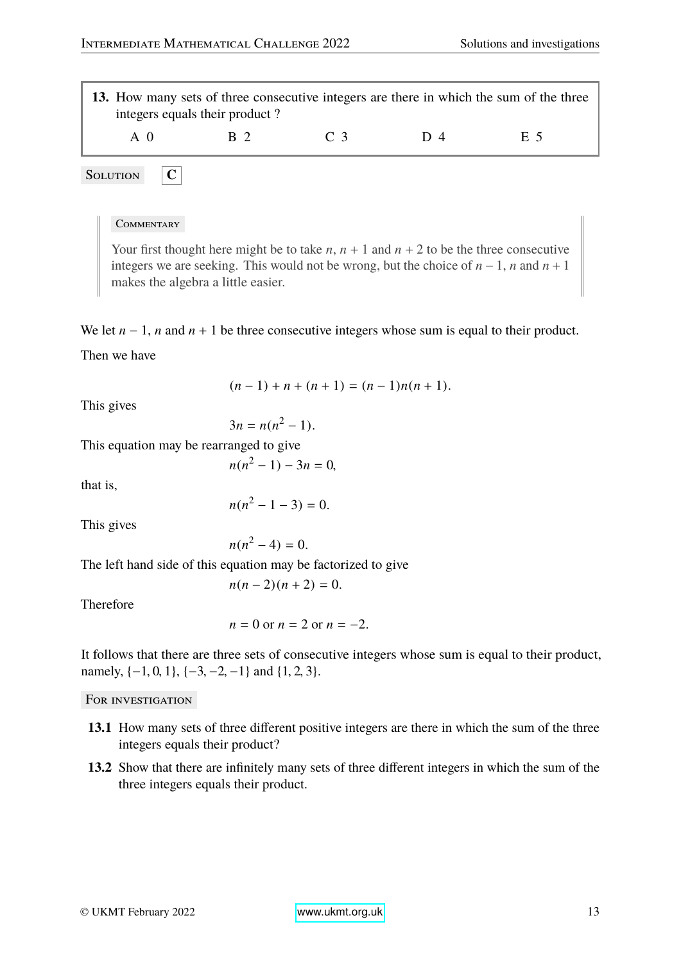

SOLUTION **C** 

#### **COMMENTARY**

Your first thought here might be to take  $n$ ,  $n + 1$  and  $n + 2$  to be the three consecutive integers we are seeking. This would not be wrong, but the choice of  $n - 1$ , *n* and  $n + 1$ makes the algebra a little easier.

We let  $n - 1$ , *n* and  $n + 1$  be three consecutive integers whose sum is equal to their product.

Then we have

$$
(n-1) + n + (n+1) = (n-1)n(n+1).
$$

This gives

$$
3n = n(n^2 - 1).
$$

This equation may be rearranged to give

$$
n(n^2 - 1) - 3n = 0,
$$

that is,

$$
n(n^2 - 1 - 3) = 0.
$$

This gives

$$
n(n^2-4)=0.
$$

The left hand side of this equation may be factorized to give

$$
n(n-2)(n+2)=0.
$$

Therefore

$$
n = 0 \text{ or } n = 2 \text{ or } n = -2.
$$

It follows that there are three sets of consecutive integers whose sum is equal to their product, namely,  $\{-1, 0, 1\}$ ,  $\{-3, -2, -1\}$  and  $\{1, 2, 3\}$ .

- **13.1** How many sets of three different positive integers are there in which the sum of the three integers equals their product?
- **13.2** Show that there are infinitely many sets of three different integers in which the sum of the three integers equals their product.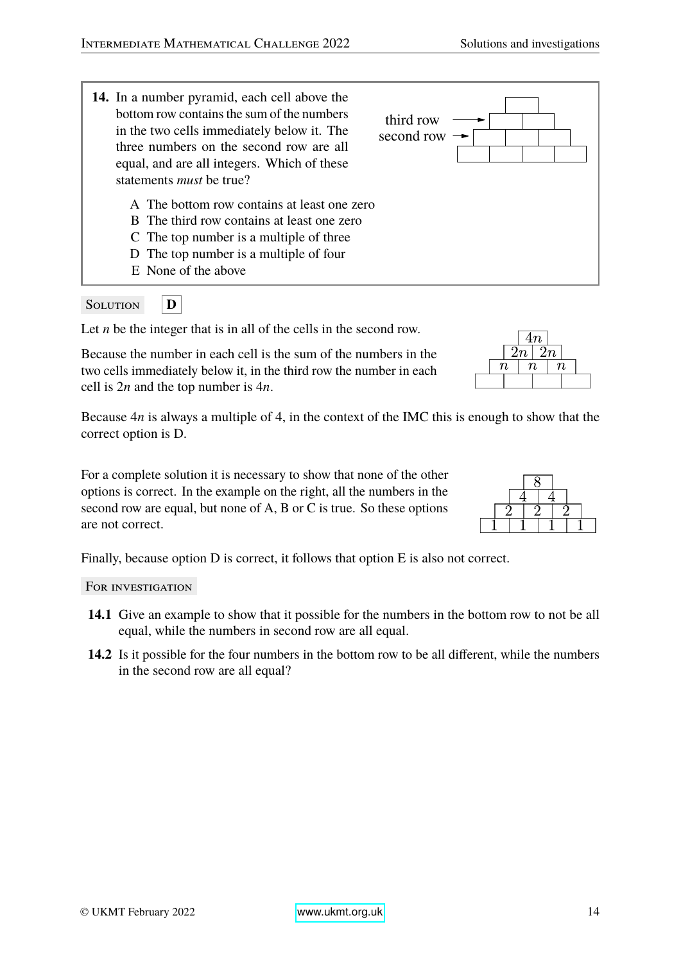**14.** In a number pyramid, each cell above the bottom row contains the sum of the numbers in the two cells immediately below it. The three numbers on the second row are all equal, and are all integers. Which of these statements *must* be true? second row third row A The bottom row contains at least one zero B The third row contains at least one zero C The top number is a multiple of three D The top number is a multiple of four E None of the above

## Solution **D**

Let *n* be the integer that is in all of the cells in the second row.

Because the number in each cell is the sum of the numbers in the two cells immediately below it, in the third row the number in each cell is 2*n* and the top number is 4*n*.

Because 4*n* is always a multiple of 4, in the context of the IMC this is enough to show that the correct option is D.

For a complete solution it is necessary to show that none of the other options is correct. In the example on the right, all the numbers in the second row are equal, but none of A, B or C is true. So these options are not correct.

Finally, because option D is correct, it follows that option E is also not correct.

- **14.1** Give an example to show that it possible for the numbers in the bottom row to not be all equal, while the numbers in second row are all equal.
- **14.2** Is it possible for the four numbers in the bottom row to be all different, while the numbers in the second row are all equal?

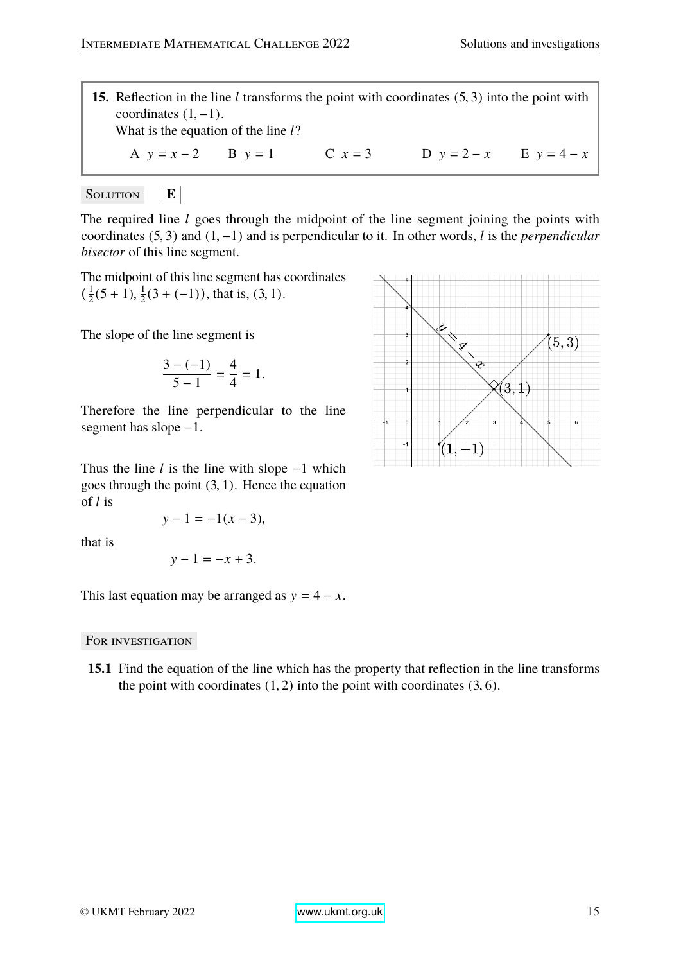**15.** Reflection in the line *<sup>l</sup>* transforms the point with coordinates (5, <sup>3</sup>) into the point with coordinates  $(1, -1)$ . What is the equation of the line *l*? A  $y = x - 2$  B  $y = 1$  C  $x = 3$  D  $y = 2 - x$  E  $y = 4 - x$ 

Solution **E**

The required line *l* goes through the midpoint of the line segment joining the points with coordinates (5, <sup>3</sup>) and (1, <sup>−</sup>1) and is perpendicular to it. In other words, *<sup>l</sup>* is the *perpendicular bisector* of this line segment.

The midpoint of this line segment has coordinates  $(\frac{1}{2})$  $\frac{1}{2}(5+1), \frac{1}{2}$  $\frac{1}{2}(3 + (-1))$ , that is,  $(3, 1)$ .

The slope of the line segment is

$$
\frac{3-(-1)}{5-1}=\frac{4}{4}=1.
$$

Therefore the line perpendicular to the line segment has slope −1.

Thus the line *l* is the line with slope −1 which goes through the point  $(3, 1)$ . Hence the equation of *l* is

$$
y - 1 = -1(x - 3),
$$

that is

$$
y-1=-x+3.
$$

This last equation may be arranged as  $y = 4 - x$ .

#### FOR INVESTIGATION

**15.1** Find the equation of the line which has the property that reflection in the line transforms the point with coordinates  $(1, 2)$  into the point with coordinates  $(3, 6)$ .

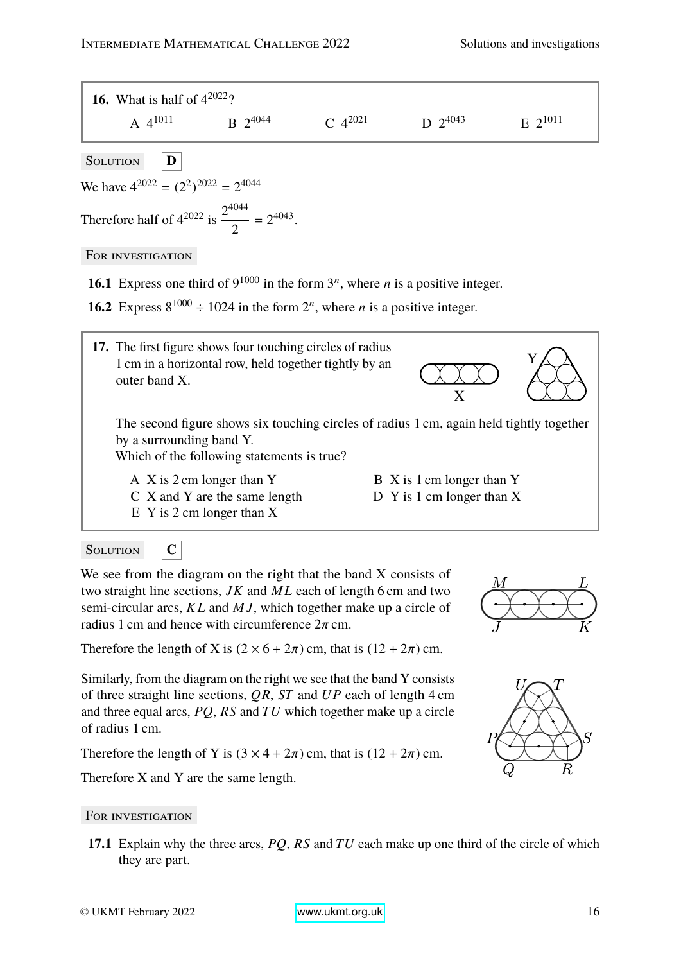

SOLUTION **C** 

We see from the diagram on the right that the band X consists of two straight line sections, *JK* and *M L* each of length 6 cm and two semi-circular arcs, *K L* and *M J*, which together make up a circle of radius 1 cm and hence with circumference  $2\pi$  cm.

Therefore the length of X is  $(2 \times 6 + 2\pi)$  cm, that is  $(12 + 2\pi)$  cm.

Similarly, from the diagram on the right we see that the band Y consists of three straight line sections, *QR*, *ST* and *UP* each of length 4 cm and three equal arcs, *PQ*, *RS* and *TU* which together make up a circle of radius 1 cm.

Therefore the length of Y is  $(3 \times 4 + 2\pi)$  cm, that is  $(12 + 2\pi)$  cm.

Therefore X and Y are the same length.

#### FOR INVESTIGATION

**17.1** Explain why the three arcs, *PQ*, *RS* and *TU* each make up one third of the circle of which they are part.



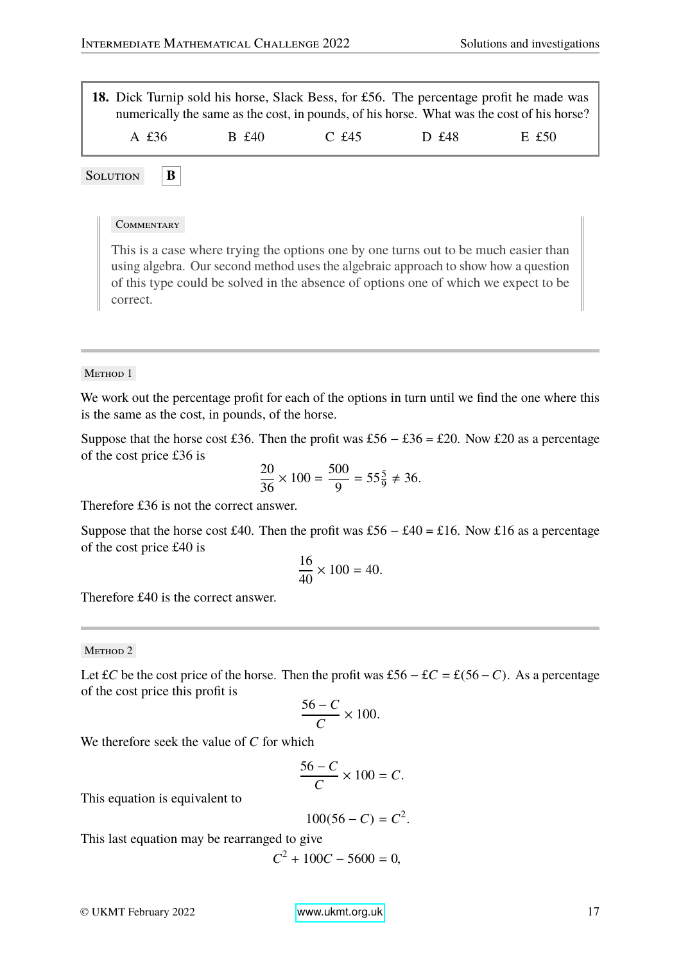**18.** Dick Turnip sold his horse, Slack Bess, for £56. The percentage profit he made was numerically the same as the cost, in pounds, of his horse. What was the cost of his horse? A £36 B £40 C £45 D £48 E £50

Solution **B** 

#### **COMMENTARY**

This is a case where trying the options one by one turns out to be much easier than using algebra. Our second method uses the algebraic approach to show how a question of this type could be solved in the absence of options one of which we expect to be correct.

#### METHOD 1

We work out the percentage profit for each of the options in turn until we find the one where this is the same as the cost, in pounds, of the horse.

Suppose that the horse cost £36. Then the profit was £56 – £36 = £20. Now £20 as a percentage of the cost price £36 is

$$
\frac{20}{36} \times 100 = \frac{500}{9} = 55\frac{5}{9} \neq 36.
$$

Therefore £36 is not the correct answer.

Suppose that the horse cost £40. Then the profit was £56 – £40 = £16. Now £16 as a percentage of the cost price £40 is

$$
\frac{16}{40} \times 100 = 40.
$$

Therefore £40 is the correct answer.

METHOD 2

Let £*C* be the cost price of the horse. Then the profit was £56 – £*C* = £(56 – *C*). As a percentage of the cost price this profit is

$$
\frac{56-C}{C} \times 100.
$$

We therefore seek the value of *C* for which

$$
\frac{56-C}{C} \times 100 = C.
$$

This equation is equivalent to

$$
100(56 - C) = C^2.
$$

This last equation may be rearranged to give

 $C^2 + 100C - 5600 = 0$ ,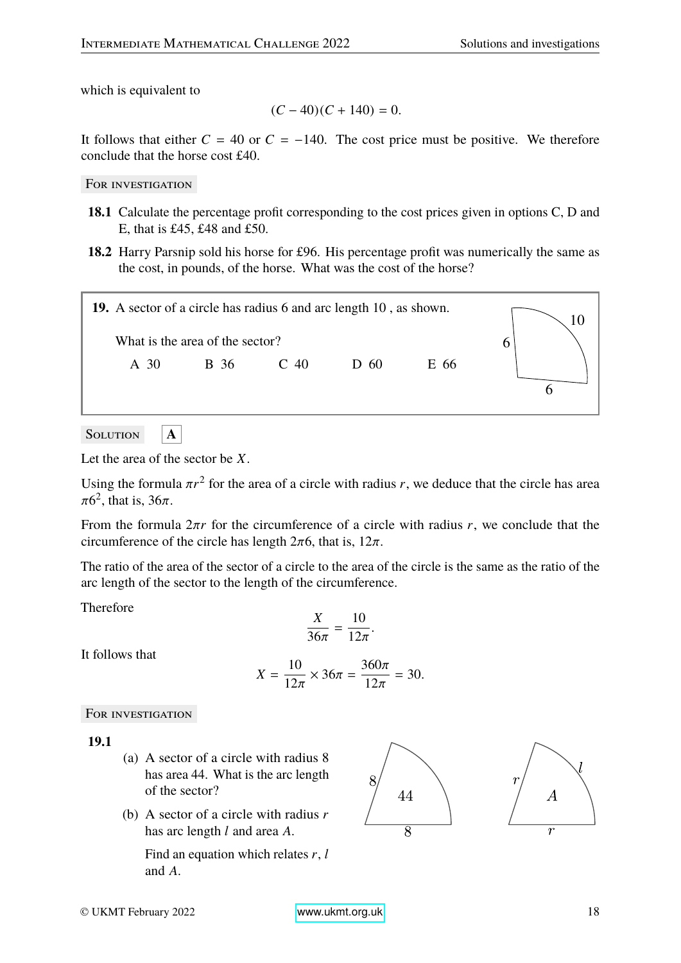which is equivalent to

$$
(C-40)(C+140) = 0.
$$

It follows that either  $C = 40$  or  $C = -140$ . The cost price must be positive. We therefore conclude that the horse cost £40.

FOR INVESTIGATION

- **18.1** Calculate the percentage profit corresponding to the cost prices given in options C, D and E, that is £45, £48 and £50.
- **18.2** Harry Parsnip sold his horse for £96. His percentage profit was numerically the same as the cost, in pounds, of the horse. What was the cost of the horse?



SOLUTION **A** 

Let the area of the sector be *X*.

Using the formula  $\pi r^2$  for the area of a circle with radius *r*, we deduce that the circle has area  $\pi 6^2$  that is  $36\pi$  $\pi$ 6<sup>2</sup>, that is, 36 $\pi$ .

From the formula <sup>2</sup>π*<sup>r</sup>* for the circumference of a circle with radius *<sup>r</sup>*, we conclude that the circumference of the circle has length  $2\pi$ 6, that is,  $12\pi$ .

The ratio of the area of the sector of a circle to the area of the circle is the same as the ratio of the arc length of the sector to the length of the circumference.

Therefore

$$
\frac{X}{36\pi}=\frac{10}{12\pi}.
$$

It follows that

$$
X = \frac{10}{12\pi} \times 36\pi = \frac{360\pi}{12\pi} = 30.
$$

For investigation

**19.1**

- (a) A sector of a circle with radius 8 has area 44. What is the arc length of the sector?
- (b) A sector of a circle with radius *r* has arc length *l* and area *A*.

Find an equation which relates *r*, *l* and *A*.

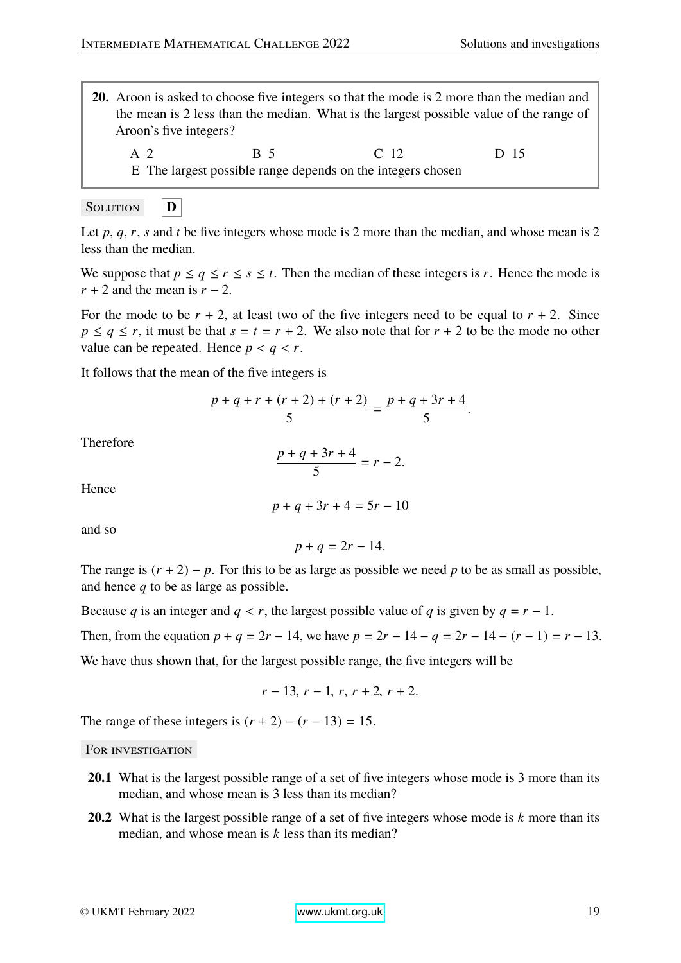- **20.** Aroon is asked to choose five integers so that the mode is 2 more than the median and the mean is 2 less than the median. What is the largest possible value of the range of Aroon's five integers?
	- A 2 B 5 C 12 D 15 E The largest possible range depends on the integers chosen

$$
\begin{array}{|c|c|}\n\hline\n\text{SOLUTION} & \boxed{\mathbf{D}}\n\end{array}
$$

Let  $p$ ,  $q$ ,  $r$ ,  $s$  and  $t$  be five integers whose mode is 2 more than the median, and whose mean is 2 less than the median.

We suppose that  $p \le q \le r \le s \le t$ . Then the median of these integers is *r*. Hence the mode is *r* + 2 and the mean is *r* − 2.

For the mode to be  $r + 2$ , at least two of the five integers need to be equal to  $r + 2$ . Since  $p \leq q \leq r$ , it must be that  $s = t = r + 2$ . We also note that for  $r + 2$  to be the mode no other value can be repeated. Hence  $p < q < r$ .

It follows that the mean of the five integers is

$$
\frac{p+q+r+(r+2)+(r+2)}{5} = \frac{p+q+3r+4}{5}.
$$

Therefore

$$
\frac{p+q+3r+4}{5}=r-2.
$$

Hence

$$
p + q + 3r + 4 = 5r - 10
$$

and so

$$
p+q=2r-14.
$$

The range is  $(r + 2) - p$ . For this to be as large as possible we need p to be as small as possible, and hence *q* to be as large as possible.

Because *q* is an integer and  $q < r$ , the largest possible value of *q* is given by  $q = r - 1$ .

Then, from the equation  $p + q = 2r - 14$ , we have  $p = 2r - 14 - q = 2r - 14 - (r - 1) = r - 13$ .

We have thus shown that, for the largest possible range, the five integers will be

$$
r-13, r-1, r, r+2, r+2.
$$

The range of these integers is  $(r + 2) - (r - 13) = 15$ .

- **20.1** What is the largest possible range of a set of five integers whose mode is 3 more than its median, and whose mean is 3 less than its median?
- **20.2** What is the largest possible range of a set of five integers whose mode is *k* more than its median, and whose mean is *k* less than its median?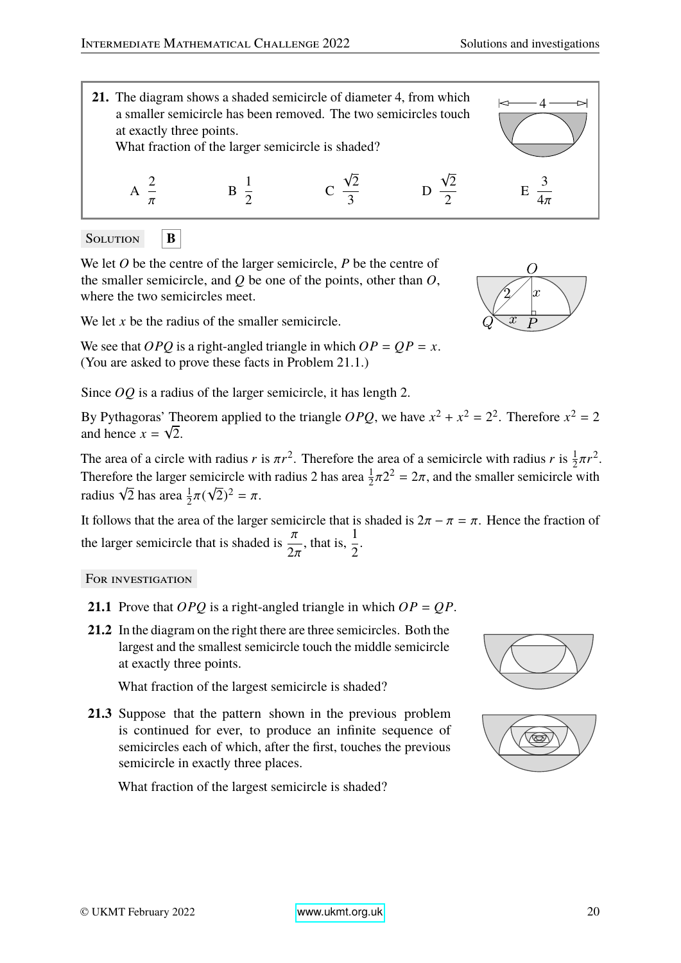$\overline{O}$ 



Solution **B** 

We let *O* be the centre of the larger semicircle, *P* be the centre of the smaller semicircle, and *Q* be one of the points, other than *O*, where the two semicircles meet.

We let *x* be the radius of the smaller semicircle.

We see that *OPQ* is a right-angled triangle in which  $OP = QP = x$ . (You are asked to prove these facts in Problem 21.1.)

Since *OQ* is a radius of the larger semicircle, it has length 2.

By Pythagoras' Theorem applied to the triangle *OPQ*, we have  $x^2 + x^2 = 2^2$ . Therefore  $x^2 = 2$ and hence  $x = \sqrt{2}$ .

The area of a circle with radius *r* is  $\pi r^2$ . Therefore the area of a semicircle with radius *r* is  $\frac{1}{2}\pi r^2$ .<br>Therefore the larger semicircle with radius 2 has area  $\frac{1}{2}\pi 2^2 = 2\pi$  and the smaller semicircle w Therefore the larger semicircle with radius 2 has area  $\frac{1}{2}\pi 2^2 = 2\pi$ , and the smaller semicircle with radius  $\sqrt{2}$  has area  $\frac{1}{2}(2\sqrt{2})^2 = \pi$ . radius  $\sqrt{2}$  has area  $\frac{1}{2}\pi(\sqrt{2})^2 = \pi$ .

It follows that the area of the larger semicircle that is shaded is  $2\pi - \pi = \pi$ . Hence the fraction of the larger semicircle that is shaded is  $\frac{\pi}{2}$  $2\pi$ , that is,  $\frac{1}{2}$ 2 .

FOR INVESTIGATION

- **21.1** Prove that *OPQ* is a right-angled triangle in which *OP* = *QP*.
- **21.2** In the diagram on the right there are three semicircles. Both the largest and the smallest semicircle touch the middle semicircle at exactly three points.

What fraction of the largest semicircle is shaded?

**21.3** Suppose that the pattern shown in the previous problem is continued for ever, to produce an infinite sequence of semicircles each of which, after the first, touches the previous semicircle in exactly three places.

What fraction of the largest semicircle is shaded?





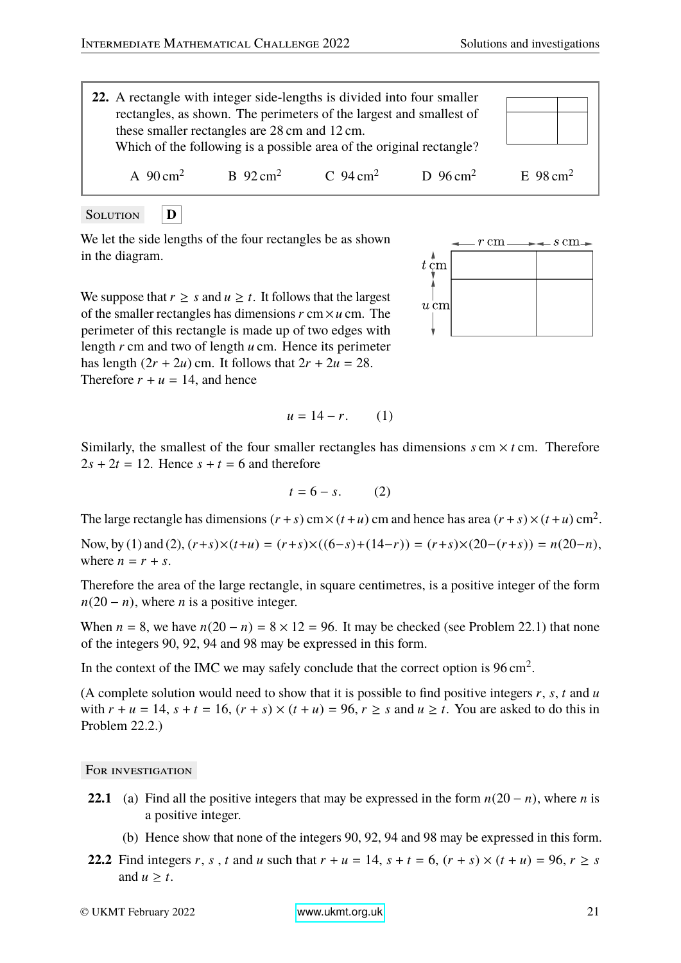

Solution **D**

We let the side lengths of the four rectangles be as shown in the diagram.

 $t \, \mathrm{cm}$  $u \, \mathrm{cm}$ 

 $r \, \mathrm{cm}$ .

 $-$  s cm $-$ 

We suppose that  $r \geq s$  and  $u \geq t$ . It follows that the largest of the smaller rectangles has dimensions *r* cm×*u* cm. The perimeter of this rectangle is made up of two edges with length *r* cm and two of length *u* cm. Hence its perimeter has length  $(2r + 2u)$  cm. It follows that  $2r + 2u = 28$ . Therefore  $r + u = 14$ , and hence

$$
u = 14 - r. \qquad (1)
$$

Similarly, the smallest of the four smaller rectangles has dimensions  $s$  cm  $\times$  *t* cm. Therefore  $2s + 2t = 12$ . Hence  $s + t = 6$  and therefore

$$
t = 6 - s. \tag{2}
$$

The large rectangle has dimensions  $(r + s)$  cm  $\times$   $(t + u)$  cm and hence has area  $(r + s) \times (t + u)$  cm<sup>2</sup>.

Now, by (1) and (2),  $(r+s) \times (t+u) = (r+s) \times ((6-s)+(14-r)) = (r+s) \times (20-(r+s)) = n(20-n)$ , where  $n = r + s$ .

Therefore the area of the large rectangle, in square centimetres, is a positive integer of the form  $n(20 - n)$ , where *n* is a positive integer.

When  $n = 8$ , we have  $n(20 - n) = 8 \times 12 = 96$ . It may be checked (see Problem 22.1) that none of the integers 90, 92, 94 and 98 may be expressed in this form.

In the context of the IMC we may safely conclude that the correct option is  $96 \text{ cm}^2$ .

(A complete solution would need to show that it is possible to find positive integers *r*, *s*, *t* and *u* with  $r + u = 14$ ,  $s + t = 16$ ,  $(r + s) \times (t + u) = 96$ ,  $r \ge s$  and  $u \ge t$ . You are asked to do this in Problem 22.2.)

- **22.1** (a) Find all the positive integers that may be expressed in the form  $n(20 n)$ , where *n* is a positive integer.
	- (b) Hence show that none of the integers 90, 92, 94 and 98 may be expressed in this form.
- **22.2** Find integers *r*, *s*, *t* and *u* such that  $r + u = 14$ ,  $s + t = 6$ ,  $(r + s) \times (t + u) = 96$ ,  $r \ge s$ and  $u \geq t$ .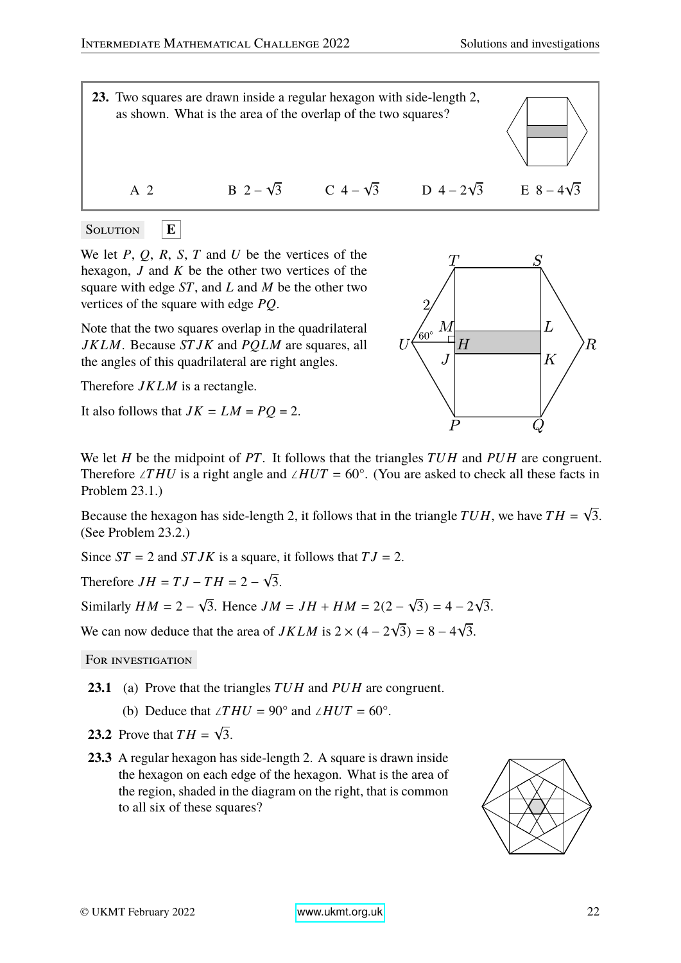

SOLUTION 
$$
\boxed{\mathbf{E}}
$$

We let *P*, *Q*, *R*, *S*, *T* and *U* be the vertices of the hexagon, *J* and *K* be the other two vertices of the square with edge *ST*, and *L* and *M* be the other two vertices of the square with edge *PQ*.

Note that the two squares overlap in the quadrilateral *JK LM*. Because *ST JK* and *PQLM* are squares, all the angles of this quadrilateral are right angles.

Therefore *JK LM* is a rectangle.

It also follows that  $JK = LM = PQ = 2$ .



We let *H* be the midpoint of *PT*. It follows that the triangles *TU H* and *PU H* are congruent. Therefore ∠*T HU* is a right angle and ∠*HUT* = 60°. (You are asked to check all these facts in Problem 23.1.)

Because the hexagon has side-length 2, it follows that in the triangle *TU H*, we have *T H* = √ 3. (See Problem 23.2.)

Since  $ST = 2$  and  $STJK$  is a square, it follows that  $TJ = 2$ .

Therefore  $JH = TJ - TH = 2 -$ √ 3.

Similarly  $HM = 2 -$ √ 3. Hence  $JM = JH + HM = 2(2 -$ √  $(3) = 4 - 2$ √ 3.

We can now deduce that the area of  $JKLM$  is  $2 \times (4 - 2)$ √  $(3) = 8 - 4$ √ 3.

- **23.1** (a) Prove that the triangles *TU H* and *PU H* are congruent.
	- (b) Deduce that ∠*THU* = 90° and ∠*HUT* = 60°.
- **23.2** Prove that  $TH =$ √ 3.
- **23.3** A regular hexagon has side-length 2. A square is drawn inside the hexagon on each edge of the hexagon. What is the area of the region, shaded in the diagram on the right, that is common to all six of these squares?

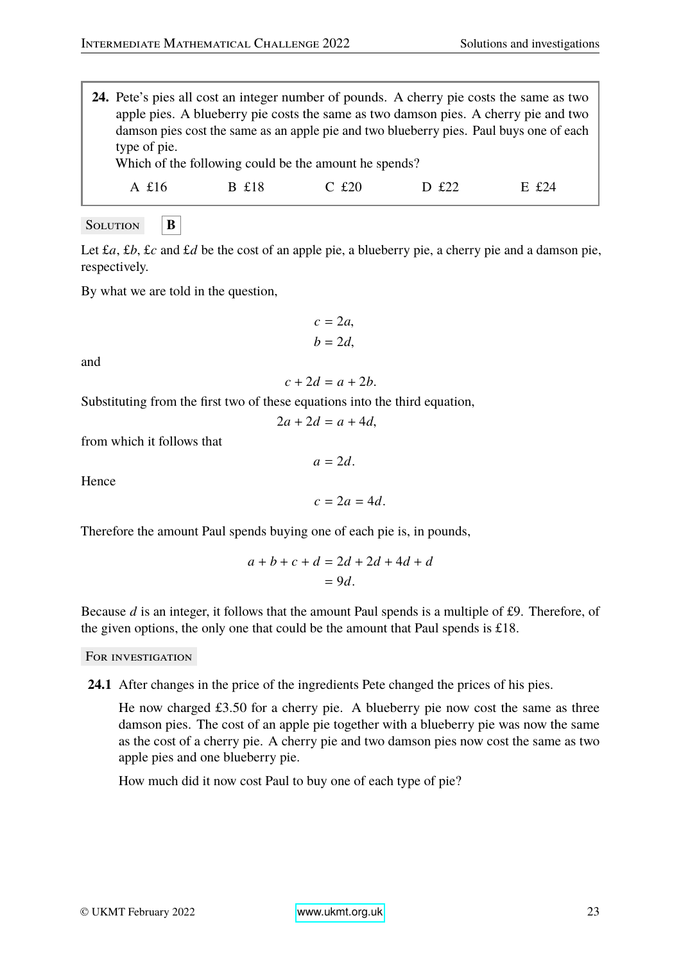| 24. Pete's pies all cost an integer number of pounds. A cherry pie costs the same as two                                                                                       |       |         |       |                  |  |
|--------------------------------------------------------------------------------------------------------------------------------------------------------------------------------|-------|---------|-------|------------------|--|
| apple pies. A blueberry pie costs the same as two damson pies. A cherry pie and two<br>damson pies cost the same as an apple pie and two blueberry pies. Paul buys one of each |       |         |       |                  |  |
| type of pie.                                                                                                                                                                   |       |         |       |                  |  |
| Which of the following could be the amount he spends?                                                                                                                          |       |         |       |                  |  |
|                                                                                                                                                                                | B £18 | $C$ £20 | D £22 | $E_{\rm f}$ f 24 |  |
| A £16                                                                                                                                                                          |       |         |       |                  |  |

Solution **B** 

Let £*a*, £*b*, £*c* and £*d* be the cost of an apple pie, a blueberry pie, a cherry pie and a damson pie, respectively.

By what we are told in the question,

$$
c = 2a,
$$
  

$$
b = 2d,
$$

and

$$
c + 2d = a + 2b.
$$

Substituting from the first two of these equations into the third equation,

$$
2a + 2d = a + 4d,
$$

 $a = 2d$ .

from which it follows that

Hence

 $c = 2a = 4d$ .

Therefore the amount Paul spends buying one of each pie is, in pounds,

$$
a+b+c+d = 2d+2d+4d+d
$$

$$
= 9d.
$$

Because *d* is an integer, it follows that the amount Paul spends is a multiple of £9. Therefore, of the given options, the only one that could be the amount that Paul spends is £18.

FOR INVESTIGATION

**24.1** After changes in the price of the ingredients Pete changed the prices of his pies.

He now charged £3.50 for a cherry pie. A blueberry pie now cost the same as three damson pies. The cost of an apple pie together with a blueberry pie was now the same as the cost of a cherry pie. A cherry pie and two damson pies now cost the same as two apple pies and one blueberry pie.

How much did it now cost Paul to buy one of each type of pie?